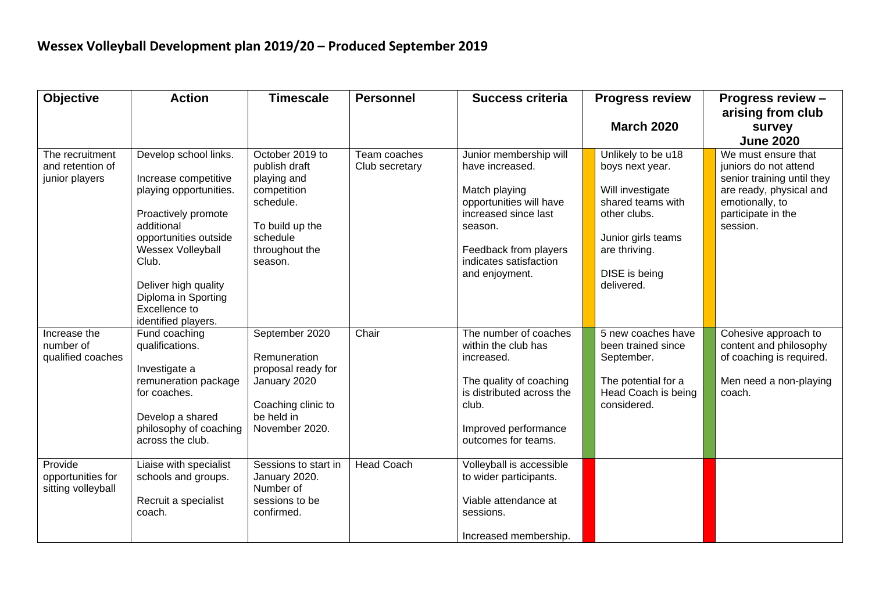| <b>Objective</b>                                      | <b>Action</b>                                                                                                                                                                                                                                              | <b>Timescale</b>                                                                                                                        | <b>Personnel</b>               | <b>Success criteria</b>                                                                                                                                                                       | <b>Progress review</b>                                                                                                                                               | <b>Progress review -</b><br>arising from club                                                                                                              |
|-------------------------------------------------------|------------------------------------------------------------------------------------------------------------------------------------------------------------------------------------------------------------------------------------------------------------|-----------------------------------------------------------------------------------------------------------------------------------------|--------------------------------|-----------------------------------------------------------------------------------------------------------------------------------------------------------------------------------------------|----------------------------------------------------------------------------------------------------------------------------------------------------------------------|------------------------------------------------------------------------------------------------------------------------------------------------------------|
|                                                       |                                                                                                                                                                                                                                                            |                                                                                                                                         |                                |                                                                                                                                                                                               | <b>March 2020</b>                                                                                                                                                    | survey                                                                                                                                                     |
|                                                       |                                                                                                                                                                                                                                                            |                                                                                                                                         |                                |                                                                                                                                                                                               |                                                                                                                                                                      | <b>June 2020</b>                                                                                                                                           |
| The recruitment<br>and retention of<br>junior players | Develop school links.<br>Increase competitive<br>playing opportunities.<br>Proactively promote<br>additional<br>opportunities outside<br>Wessex Volleyball<br>Club.<br>Deliver high quality<br>Diploma in Sporting<br>Excellence to<br>identified players. | October 2019 to<br>publish draft<br>playing and<br>competition<br>schedule.<br>To build up the<br>schedule<br>throughout the<br>season. | Team coaches<br>Club secretary | Junior membership will<br>have increased.<br>Match playing<br>opportunities will have<br>increased since last<br>season.<br>Feedback from players<br>indicates satisfaction<br>and enjoyment. | Unlikely to be u18<br>boys next year.<br>Will investigate<br>shared teams with<br>other clubs.<br>Junior girls teams<br>are thriving.<br>DISE is being<br>delivered. | We must ensure that<br>juniors do not attend<br>senior training until they<br>are ready, physical and<br>emotionally, to<br>participate in the<br>session. |
| Increase the<br>number of<br>qualified coaches        | Fund coaching<br>qualifications.<br>Investigate a<br>remuneration package<br>for coaches.<br>Develop a shared<br>philosophy of coaching<br>across the club.                                                                                                | September 2020<br>Remuneration<br>proposal ready for<br>January 2020<br>Coaching clinic to<br>be held in<br>November 2020.              | Chair                          | The number of coaches<br>within the club has<br>increased.<br>The quality of coaching<br>is distributed across the<br>club.<br>Improved performance<br>outcomes for teams.                    | 5 new coaches have<br>been trained since<br>September.<br>The potential for a<br>Head Coach is being<br>considered.                                                  | Cohesive approach to<br>content and philosophy<br>of coaching is required.<br>Men need a non-playing<br>coach.                                             |
| Provide<br>opportunities for<br>sitting volleyball    | Liaise with specialist<br>schools and groups.<br>Recruit a specialist<br>coach.                                                                                                                                                                            | Sessions to start in<br>January 2020.<br>Number of<br>sessions to be<br>confirmed.                                                      | <b>Head Coach</b>              | Volleyball is accessible<br>to wider participants.<br>Viable attendance at<br>sessions.<br>Increased membership.                                                                              |                                                                                                                                                                      |                                                                                                                                                            |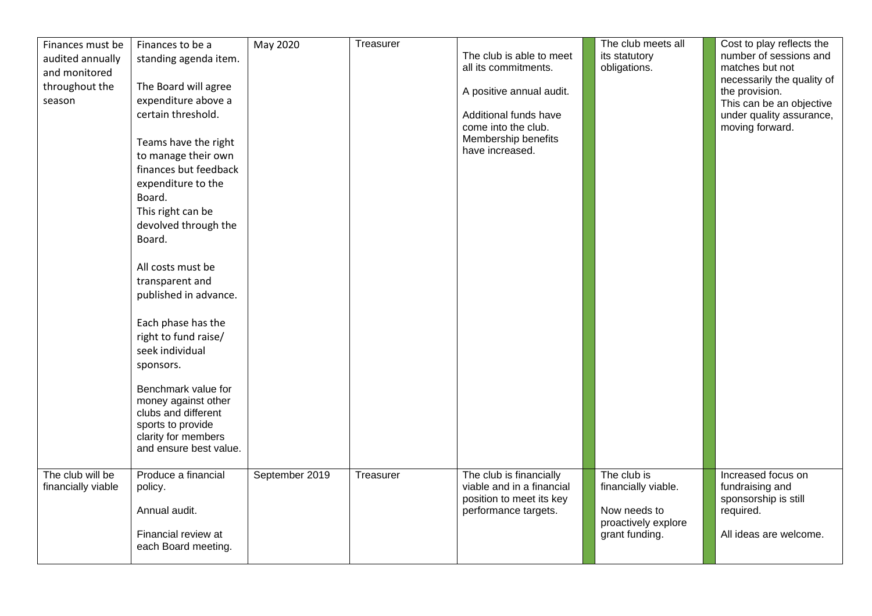| Finances must be<br>audited annually<br>and monitored<br>throughout the<br>season | Finances to be a<br>standing agenda item.<br>The Board will agree<br>expenditure above a<br>certain threshold.<br>Teams have the right<br>to manage their own<br>finances but feedback<br>expenditure to the<br>Board.<br>This right can be<br>devolved through the<br>Board.<br>All costs must be<br>transparent and<br>published in advance.<br>Each phase has the<br>right to fund raise/<br>seek individual<br>sponsors.<br>Benchmark value for<br>money against other<br>clubs and different<br>sports to provide<br>clarity for members | May 2020       | Treasurer | The club is able to meet<br>all its commitments.<br>A positive annual audit.<br>Additional funds have<br>come into the club.<br>Membership benefits<br>have increased. | The club meets all<br>its statutory<br>obligations.                                         | Cost to play reflects the<br>number of sessions and<br>matches but not<br>necessarily the quality of<br>the provision.<br>This can be an objective<br>under quality assurance,<br>moving forward. |
|-----------------------------------------------------------------------------------|-----------------------------------------------------------------------------------------------------------------------------------------------------------------------------------------------------------------------------------------------------------------------------------------------------------------------------------------------------------------------------------------------------------------------------------------------------------------------------------------------------------------------------------------------|----------------|-----------|------------------------------------------------------------------------------------------------------------------------------------------------------------------------|---------------------------------------------------------------------------------------------|---------------------------------------------------------------------------------------------------------------------------------------------------------------------------------------------------|
|                                                                                   | and ensure best value.                                                                                                                                                                                                                                                                                                                                                                                                                                                                                                                        |                |           |                                                                                                                                                                        |                                                                                             |                                                                                                                                                                                                   |
| The club will be<br>financially viable                                            | Produce a financial<br>policy.<br>Annual audit.<br>Financial review at<br>each Board meeting.                                                                                                                                                                                                                                                                                                                                                                                                                                                 | September 2019 | Treasurer | The club is financially<br>viable and in a financial<br>position to meet its key<br>performance targets.                                                               | The club is<br>financially viable.<br>Now needs to<br>proactively explore<br>grant funding. | Increased focus on<br>fundraising and<br>sponsorship is still<br>required.<br>All ideas are welcome.                                                                                              |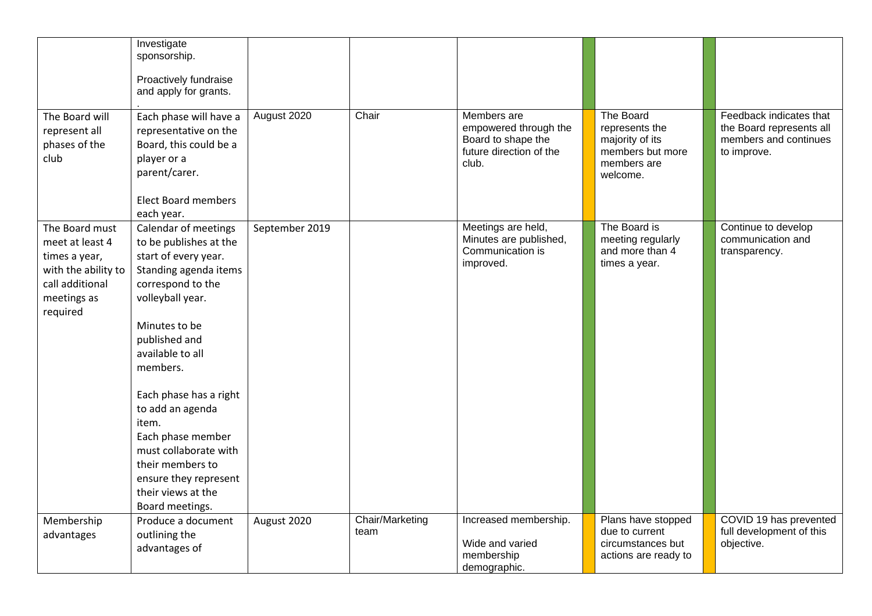|                                                                                                                         | Investigate<br>sponsorship.<br>Proactively fundraise<br>and apply for grants.                                                                                                                                                                                                                                                                                                                                       |                |                         |                                                                                                |                                                                                               |                                                                                             |
|-------------------------------------------------------------------------------------------------------------------------|---------------------------------------------------------------------------------------------------------------------------------------------------------------------------------------------------------------------------------------------------------------------------------------------------------------------------------------------------------------------------------------------------------------------|----------------|-------------------------|------------------------------------------------------------------------------------------------|-----------------------------------------------------------------------------------------------|---------------------------------------------------------------------------------------------|
| The Board will<br>represent all<br>phases of the<br>club                                                                | Each phase will have a<br>representative on the<br>Board, this could be a<br>player or a<br>parent/carer.<br><b>Elect Board members</b>                                                                                                                                                                                                                                                                             | August 2020    | Chair                   | Members are<br>empowered through the<br>Board to shape the<br>future direction of the<br>club. | The Board<br>represents the<br>majority of its<br>members but more<br>members are<br>welcome. | Feedback indicates that<br>the Board represents all<br>members and continues<br>to improve. |
| The Board must<br>meet at least 4<br>times a year,<br>with the ability to<br>call additional<br>meetings as<br>required | each year.<br>Calendar of meetings<br>to be publishes at the<br>start of every year.<br>Standing agenda items<br>correspond to the<br>volleyball year.<br>Minutes to be<br>published and<br>available to all<br>members.<br>Each phase has a right<br>to add an agenda<br>item.<br>Each phase member<br>must collaborate with<br>their members to<br>ensure they represent<br>their views at the<br>Board meetings. | September 2019 |                         | Meetings are held,<br>Minutes are published,<br>Communication is<br>improved.                  | The Board is<br>meeting regularly<br>and more than 4<br>times a year.                         | Continue to develop<br>communication and<br>transparency.                                   |
| Membership<br>advantages                                                                                                | Produce a document<br>outlining the<br>advantages of                                                                                                                                                                                                                                                                                                                                                                | August 2020    | Chair/Marketing<br>team | Increased membership.<br>Wide and varied<br>membership<br>demographic.                         | Plans have stopped<br>due to current<br>circumstances but<br>actions are ready to             | COVID 19 has prevented<br>full development of this<br>objective.                            |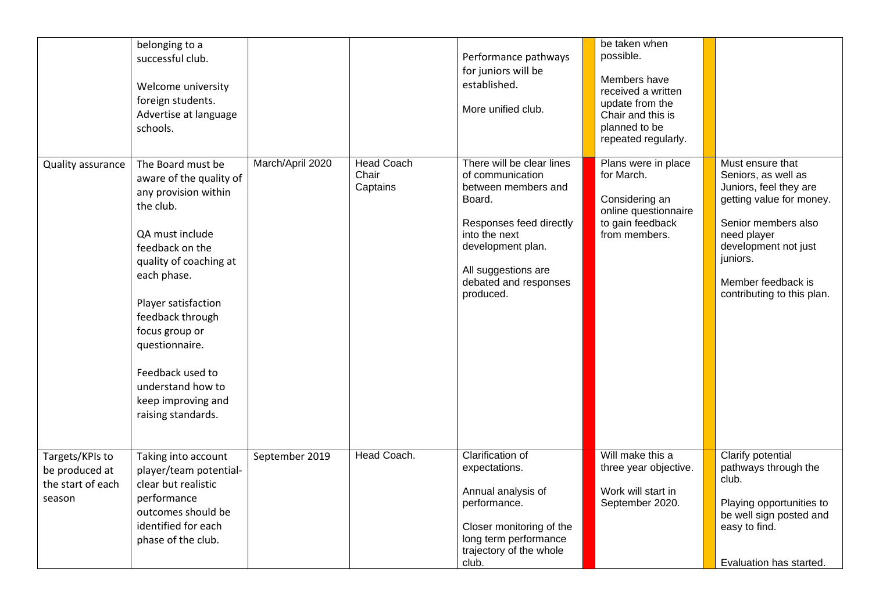|                                                                  | belonging to a<br>successful club.<br>Welcome university<br>foreign students.<br>Advertise at language<br>schools.                                                                                                                                                                                                                   |                  |                                        | Performance pathways<br>for juniors will be<br>established.<br>More unified club.                                                                                                                            | be taken when<br>possible.<br>Members have<br>received a written<br>update from the<br>Chair and this is<br>planned to be<br>repeated regularly. |                                                                                                                                                                                                                             |
|------------------------------------------------------------------|--------------------------------------------------------------------------------------------------------------------------------------------------------------------------------------------------------------------------------------------------------------------------------------------------------------------------------------|------------------|----------------------------------------|--------------------------------------------------------------------------------------------------------------------------------------------------------------------------------------------------------------|--------------------------------------------------------------------------------------------------------------------------------------------------|-----------------------------------------------------------------------------------------------------------------------------------------------------------------------------------------------------------------------------|
| Quality assurance                                                | The Board must be<br>aware of the quality of<br>any provision within<br>the club.<br>QA must include<br>feedback on the<br>quality of coaching at<br>each phase.<br>Player satisfaction<br>feedback through<br>focus group or<br>questionnaire.<br>Feedback used to<br>understand how to<br>keep improving and<br>raising standards. | March/April 2020 | <b>Head Coach</b><br>Chair<br>Captains | There will be clear lines<br>of communication<br>between members and<br>Board.<br>Responses feed directly<br>into the next<br>development plan.<br>All suggestions are<br>debated and responses<br>produced. | Plans were in place<br>for March.<br>Considering an<br>online questionnaire<br>to gain feedback<br>from members.                                 | Must ensure that<br>Seniors, as well as<br>Juniors, feel they are<br>getting value for money.<br>Senior members also<br>need player<br>development not just<br>juniors.<br>Member feedback is<br>contributing to this plan. |
| Targets/KPIs to<br>be produced at<br>the start of each<br>season | Taking into account<br>player/team potential-<br>clear but realistic<br>performance<br>outcomes should be<br>identified for each<br>phase of the club.                                                                                                                                                                               | September 2019   | Head Coach.                            | Clarification of<br>expectations.<br>Annual analysis of<br>performance.<br>Closer monitoring of the<br>long term performance<br>trajectory of the whole<br>club.                                             | Will make this a<br>three year objective.<br>Work will start in<br>September 2020.                                                               | Clarify potential<br>pathways through the<br>club.<br>Playing opportunities to<br>be well sign posted and<br>easy to find.<br>Evaluation has started.                                                                       |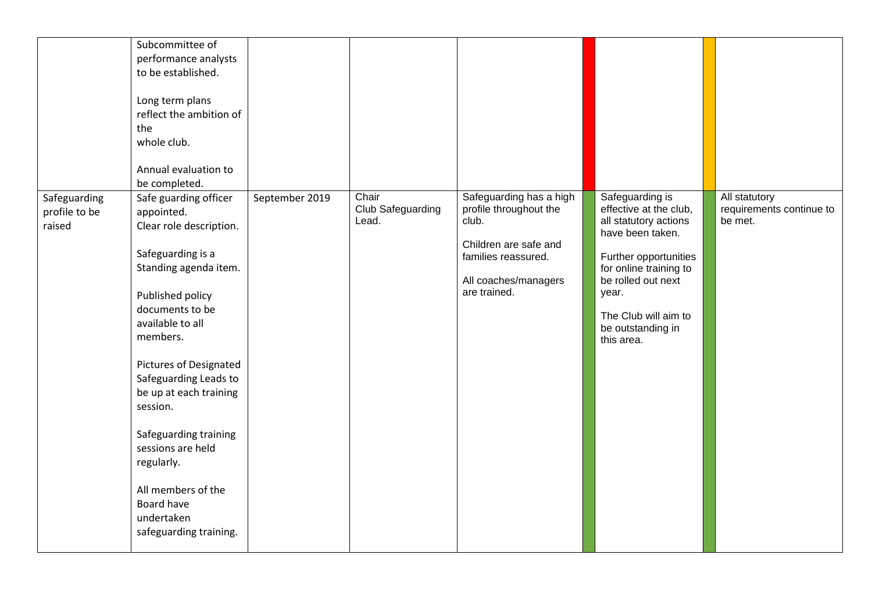|                                         | Subcommittee of<br>performance analysts<br>to be established.<br>Long term plans<br>reflect the ambition of<br>the<br>whole club.<br>Annual evaluation to<br>be completed.                                                                                                                                                                                                                                                  |                |                                     |                                                                                                                                                    |                                                                                                                                                                                                                                     |                                                      |
|-----------------------------------------|-----------------------------------------------------------------------------------------------------------------------------------------------------------------------------------------------------------------------------------------------------------------------------------------------------------------------------------------------------------------------------------------------------------------------------|----------------|-------------------------------------|----------------------------------------------------------------------------------------------------------------------------------------------------|-------------------------------------------------------------------------------------------------------------------------------------------------------------------------------------------------------------------------------------|------------------------------------------------------|
| Safeguarding<br>profile to be<br>raised | Safe guarding officer<br>appointed.<br>Clear role description.<br>Safeguarding is a<br>Standing agenda item.<br>Published policy<br>documents to be<br>available to all<br>members.<br><b>Pictures of Designated</b><br>Safeguarding Leads to<br>be up at each training<br>session.<br>Safeguarding training<br>sessions are held<br>regularly.<br>All members of the<br>Board have<br>undertaken<br>safeguarding training. | September 2019 | Chair<br>Club Safeguarding<br>Lead. | Safeguarding has a high<br>profile throughout the<br>club.<br>Children are safe and<br>families reassured.<br>All coaches/managers<br>are trained. | Safeguarding is<br>effective at the club,<br>all statutory actions<br>have been taken.<br>Further opportunities<br>for online training to<br>be rolled out next<br>year.<br>The Club will aim to<br>be outstanding in<br>this area. | All statutory<br>requirements continue to<br>be met. |